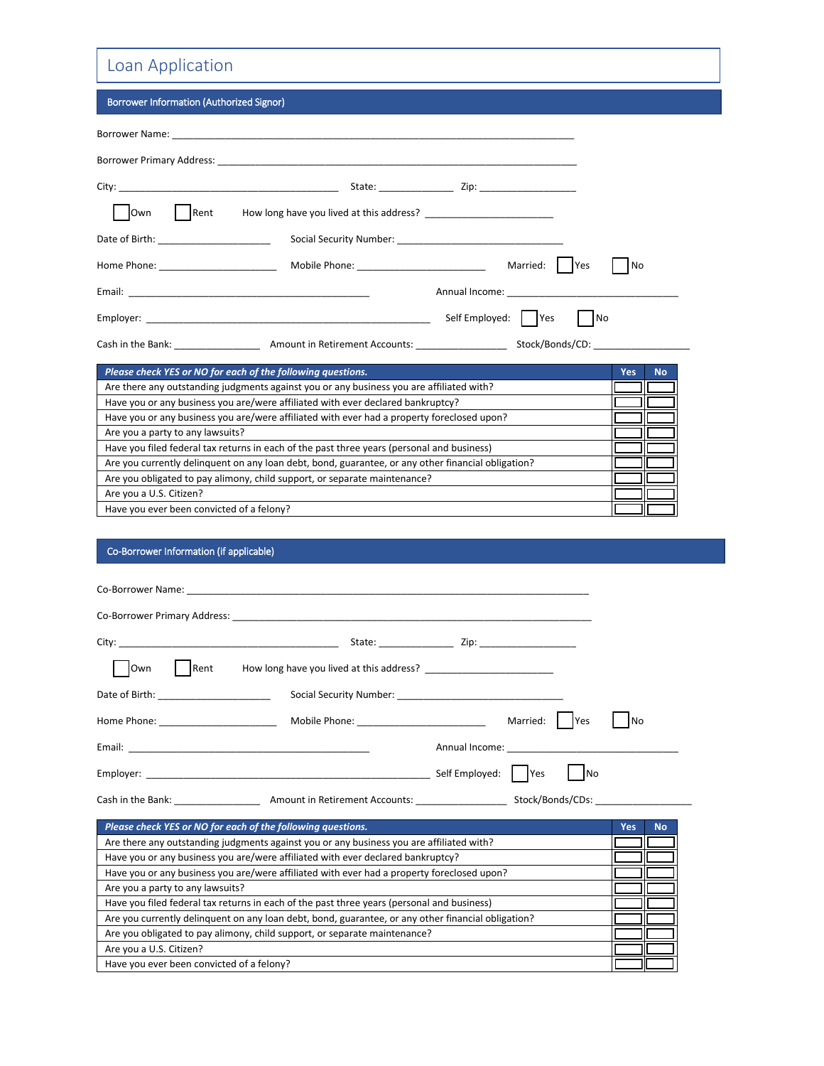## Loan Application

| Borrower Information (Authorized Signor) |  |
|------------------------------------------|--|
|------------------------------------------|--|

|                                                             | Borrower Primary Address: North American Communication of the Communication of the Communication of the Communication of the Communication of the Communication of the Communication of the Communication of the Communication |                                                                                                                                                                                                                               |                         |
|-------------------------------------------------------------|--------------------------------------------------------------------------------------------------------------------------------------------------------------------------------------------------------------------------------|-------------------------------------------------------------------------------------------------------------------------------------------------------------------------------------------------------------------------------|-------------------------|
|                                                             |                                                                                                                                                                                                                                |                                                                                                                                                                                                                               |                         |
| Rent<br><b>Own</b>                                          |                                                                                                                                                                                                                                |                                                                                                                                                                                                                               |                         |
| Date of Birth: _______________________                      |                                                                                                                                                                                                                                |                                                                                                                                                                                                                               |                         |
|                                                             |                                                                                                                                                                                                                                | Married:   Yes                                                                                                                                                                                                                | No                      |
|                                                             |                                                                                                                                                                                                                                | Annual Income: The Communication of the Communication of the Communication of the Communication of the Communication of the Communication of the Communication of the Communication of the Communication of the Communication |                         |
|                                                             |                                                                                                                                                                                                                                |                                                                                                                                                                                                                               | No.                     |
|                                                             | Cash in the Bank: Amount in Retirement Accounts: Stock/Bonds/CD:                                                                                                                                                               |                                                                                                                                                                                                                               |                         |
| Please check YES or NO for each of the following questions. |                                                                                                                                                                                                                                |                                                                                                                                                                                                                               | <b>Yes</b><br><b>No</b> |
|                                                             | Are there any outstanding judgments against you or any business you are affiliated with?                                                                                                                                       |                                                                                                                                                                                                                               |                         |
|                                                             | Have you or any business you are/were affiliated with ever declared bankruptcy?                                                                                                                                                |                                                                                                                                                                                                                               |                         |
|                                                             | Have you or any business you are/were affiliated with ever had a property foreclosed upon?                                                                                                                                     |                                                                                                                                                                                                                               |                         |
|                                                             | $\Delta$ ro vou o norty to any lowevite?                                                                                                                                                                                       |                                                                                                                                                                                                                               |                         |

Are you a party to any lawsuits? Have you filed federal tax returns in each of the past three years (personal and business) Are you currently delinquent on any loan debt, bond, guarantee, or any other financial obligation? Are you obligated to pay alimony, child support, or separate maintenance? Are you a U.S. Citizen? Have you ever been convicted of a felony?

## Co-Borrower Information (if applicable)

| <b>Own</b><br>Rent | How long have you lived at this address?                                                                       |                                                                                                                                                                                                                               |
|--------------------|----------------------------------------------------------------------------------------------------------------|-------------------------------------------------------------------------------------------------------------------------------------------------------------------------------------------------------------------------------|
|                    | Date of Birth: Social Security Number: Social Security Number:                                                 |                                                                                                                                                                                                                               |
|                    |                                                                                                                | Married:   Yes<br>No                                                                                                                                                                                                          |
|                    |                                                                                                                | Annual Income: The Communication of the Communication of the Communication of the Communication of the Communication of the Communication of the Communication of the Communication of the Communication of the Communication |
|                    | Employer: North Commission and Commission and Commission and Commission and Commission and Commission and Comm | Self Employed: Yes<br><b>No</b>                                                                                                                                                                                               |
|                    |                                                                                                                |                                                                                                                                                                                                                               |

| Please check YES or NO for each of the following questions.                                        | Yes | <b>No</b> |
|----------------------------------------------------------------------------------------------------|-----|-----------|
| Are there any outstanding judgments against you or any business you are affiliated with?           |     |           |
| Have you or any business you are/were affiliated with ever declared bankruptcy?                    |     |           |
| Have you or any business you are/were affiliated with ever had a property foreclosed upon?         |     |           |
| Are you a party to any lawsuits?                                                                   |     |           |
| Have you filed federal tax returns in each of the past three years (personal and business)         |     |           |
| Are you currently delinguent on any loan debt, bond, guarantee, or any other financial obligation? |     |           |
| Are you obligated to pay alimony, child support, or separate maintenance?                          |     |           |
| Are you a U.S. Citizen?                                                                            |     |           |
| Have you ever been convicted of a felony?                                                          |     |           |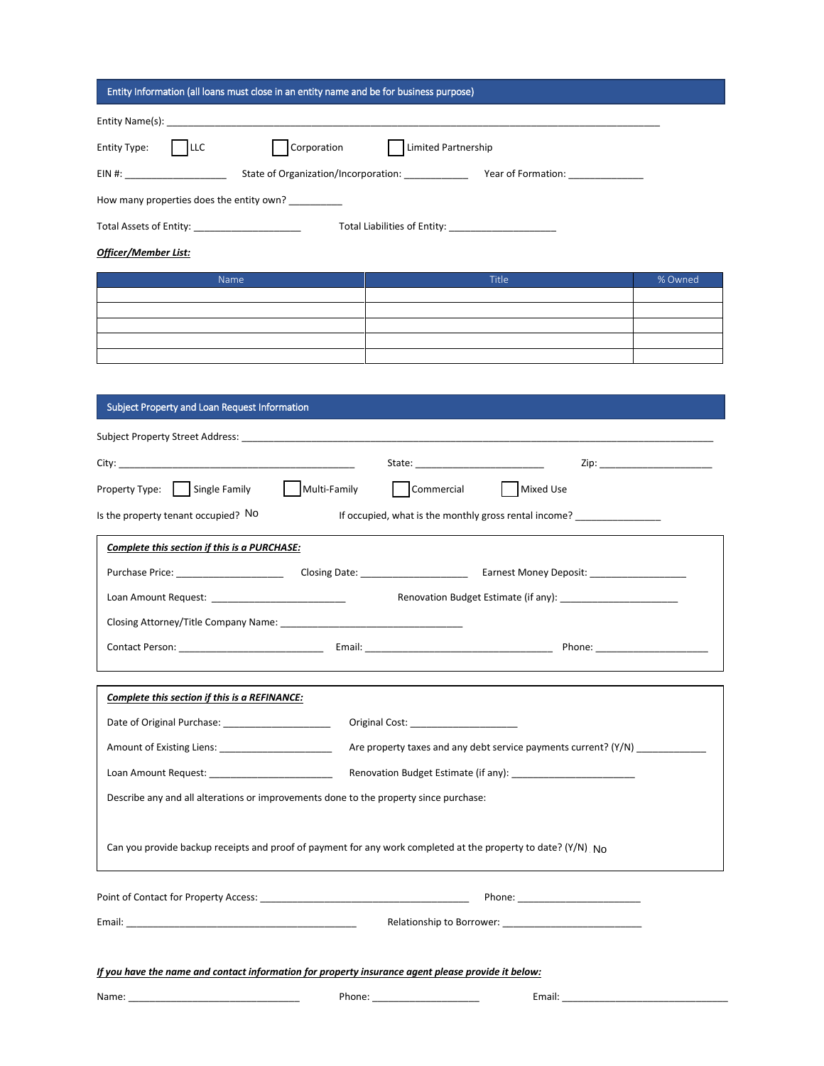| Entity Information (all loans must close in an entity name and be for business purpose)                                                                                                                                        |                                                                                  |  |  |  |  |  |  |
|--------------------------------------------------------------------------------------------------------------------------------------------------------------------------------------------------------------------------------|----------------------------------------------------------------------------------|--|--|--|--|--|--|
|                                                                                                                                                                                                                                |                                                                                  |  |  |  |  |  |  |
| $ $ LLC<br>Corporation<br>Entity Type:                                                                                                                                                                                         | Limited Partnership                                                              |  |  |  |  |  |  |
|                                                                                                                                                                                                                                |                                                                                  |  |  |  |  |  |  |
| How many properties does the entity own? __________                                                                                                                                                                            |                                                                                  |  |  |  |  |  |  |
| Total Assets of Entity: ______________________                                                                                                                                                                                 |                                                                                  |  |  |  |  |  |  |
| Officer/Member List:                                                                                                                                                                                                           |                                                                                  |  |  |  |  |  |  |
| Name                                                                                                                                                                                                                           | <b>Title</b><br>% Owned                                                          |  |  |  |  |  |  |
|                                                                                                                                                                                                                                |                                                                                  |  |  |  |  |  |  |
|                                                                                                                                                                                                                                |                                                                                  |  |  |  |  |  |  |
|                                                                                                                                                                                                                                |                                                                                  |  |  |  |  |  |  |
|                                                                                                                                                                                                                                |                                                                                  |  |  |  |  |  |  |
| Subject Property and Loan Request Information                                                                                                                                                                                  |                                                                                  |  |  |  |  |  |  |
|                                                                                                                                                                                                                                |                                                                                  |  |  |  |  |  |  |
|                                                                                                                                                                                                                                |                                                                                  |  |  |  |  |  |  |
| Property Type: Single Family Multi-Family Commercial   Mixed Use                                                                                                                                                               |                                                                                  |  |  |  |  |  |  |
| Is the property tenant occupied? No                                                                                                                                                                                            | If occupied, what is the monthly gross rental income? __________________________ |  |  |  |  |  |  |
| Complete this section if this is a PURCHASE:                                                                                                                                                                                   |                                                                                  |  |  |  |  |  |  |
|                                                                                                                                                                                                                                |                                                                                  |  |  |  |  |  |  |
| Loan Amount Request: _____________________________                                                                                                                                                                             |                                                                                  |  |  |  |  |  |  |
| Closing Attorney/Title Company Name: 2008 2010 2021 2022 2023 2024 2022 2023 2024 2022 2023 2024 2022 2023 20                                                                                                                  |                                                                                  |  |  |  |  |  |  |
|                                                                                                                                                                                                                                |                                                                                  |  |  |  |  |  |  |
| Complete this section if this is a REFINANCE:                                                                                                                                                                                  |                                                                                  |  |  |  |  |  |  |
|                                                                                                                                                                                                                                |                                                                                  |  |  |  |  |  |  |
| Are property taxes and any debt service payments current? (Y/N)                                                                                                                                                                |                                                                                  |  |  |  |  |  |  |
| Renovation Budget Estimate (if any): [2006] [2016] [2016] [2016] [2016] [2016] [2016] [2016] [2016] [2016] [20<br>Loan Amount Request: National Amount Request:                                                                |                                                                                  |  |  |  |  |  |  |
| Describe any and all alterations or improvements done to the property since purchase:                                                                                                                                          |                                                                                  |  |  |  |  |  |  |
|                                                                                                                                                                                                                                |                                                                                  |  |  |  |  |  |  |
| Can you provide backup receipts and proof of payment for any work completed at the property to date? ( $Y/N$ ) No                                                                                                              |                                                                                  |  |  |  |  |  |  |
|                                                                                                                                                                                                                                |                                                                                  |  |  |  |  |  |  |
| Email: Email: All and the state of the state of the state of the state of the state of the state of the state of the state of the state of the state of the state of the state of the state of the state of the state of the s |                                                                                  |  |  |  |  |  |  |
|                                                                                                                                                                                                                                |                                                                                  |  |  |  |  |  |  |
| If you have the name and contact information for property insurance agent please provide it below:                                                                                                                             |                                                                                  |  |  |  |  |  |  |
| Name: Name: Name: Name: Name: Name: Name: Name: Name: Name: Name: Name: Name: Name: Name: Name: Name: Name: Name: Name: Name: Name: Name: Name: Name: Name: Name: Name: Name: Name: Name: Name: Name: Name: Name: Name: Name:  | Phone: <u>_______________________</u>                                            |  |  |  |  |  |  |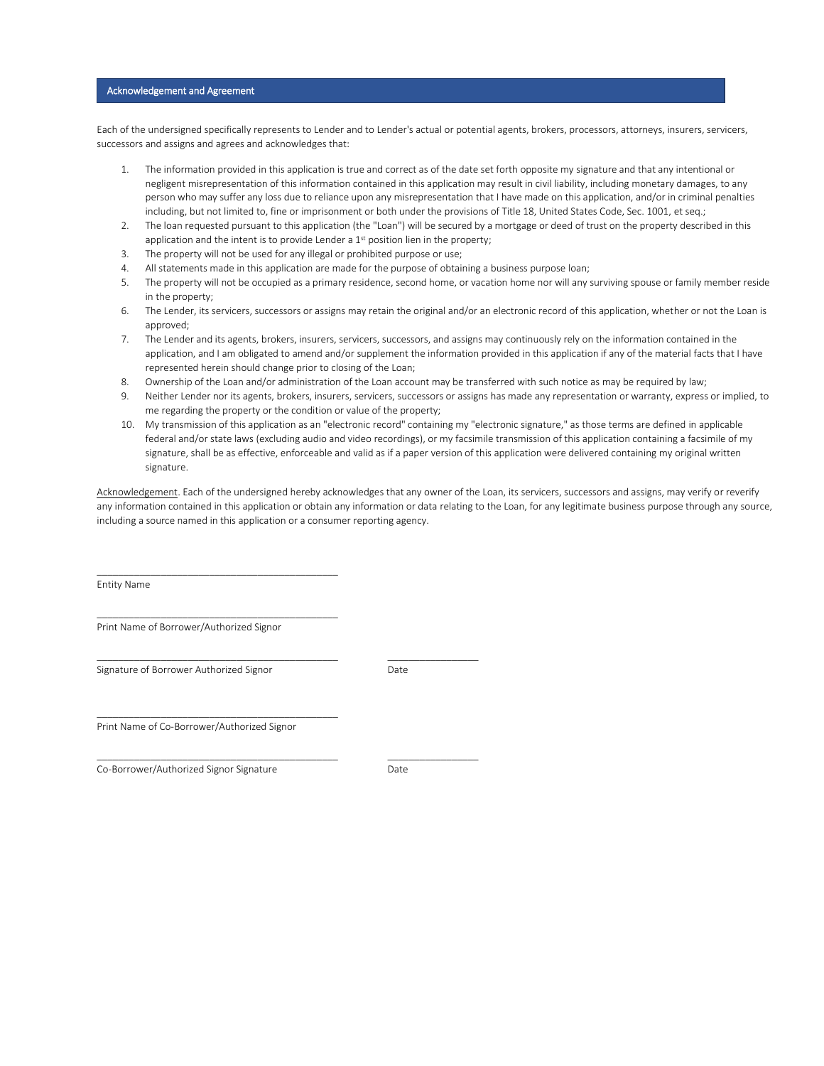## Acknowledgement and Agreement

Each of the undersigned specifically represents to Lender and to Lender's actual or potential agents, brokers, processors, attorneys, insurers, servicers, successors and assigns and agrees and acknowledges that:

- 1. The information provided in this application is true and correct as of the date set forth opposite my signature and that any intentional or negligent misrepresentation of this information contained in this application may result in civil liability, including monetary damages, to any person who may suffer any loss due to reliance upon any misrepresentation that I have made on this application, and/or in criminal penalties including, but not limited to, fine or imprisonment or both under the provisions of Title 18, United States Code, Sec. 1001, et seq.;
- 2. The loan requested pursuant to this application (the "Loan") will be secured by a mortgage or deed of trust on the property described in this application and the intent is to provide Lender a  $1<sup>st</sup>$  position lien in the property;
- 3. The property will not be used for any illegal or prohibited purpose or use;
- 4. All statements made in this application are made for the purpose of obtaining a business purpose loan;
- 5. The property will not be occupied as a primary residence, second home, or vacation home nor will any surviving spouse or family member reside in the property;
- 6. The Lender, its servicers, successors or assigns may retain the original and/or an electronic record of this application, whether or not the Loan is approved;
- 7. The Lender and its agents, brokers, insurers, servicers, successors, and assigns may continuously rely on the information contained in the application, and I am obligated to amend and/or supplement the information provided in this application if any of the material facts that I have represented herein should change prior to closing of the Loan;
- 8. Ownership of the Loan and/or administration of the Loan account may be transferred with such notice as may be required by law;
- 9. Neither Lender nor its agents, brokers, insurers, servicers, successors or assigns has made any representation or warranty, express or implied, to me regarding the property or the condition or value of the property;
- 10. My transmission of this application as an "electronic record" containing my "electronic signature," as those terms are defined in applicable federal and/or state laws (excluding audio and video recordings), or my facsimile transmission of this application containing a facsimile of my signature, shall be as effective, enforceable and valid as if a paper version of this application were delivered containing my original written signature.

Acknowledgement. Each of the undersigned hereby acknowledges that any owner of the Loan, its servicers, successors and assigns, may verify or reverify any information contained in this application or obtain any information or data relating to the Loan, for any legitimate business purpose through any source, including a source named in this application or a consumer reporting agency.

Entity Name

Print Name of Borrower/Authorized Signor

\_\_\_\_\_\_\_\_\_\_\_\_\_\_\_\_\_\_\_\_\_\_\_\_\_\_\_\_\_\_\_\_\_\_\_\_\_\_\_\_\_\_\_\_\_

\_\_\_\_\_\_\_\_\_\_\_\_\_\_\_\_\_\_\_\_\_\_\_\_\_\_\_\_\_\_\_\_\_\_\_\_\_\_\_\_\_\_\_\_\_

\_\_\_\_\_\_\_\_\_\_\_\_\_\_\_\_\_\_\_\_\_\_\_\_\_\_\_\_\_\_\_\_\_\_\_\_\_\_\_\_\_\_\_\_\_ \_\_\_\_\_\_\_\_\_\_\_\_\_\_\_\_\_

 $\_$  ,  $\_$  ,  $\_$  ,  $\_$  ,  $\_$  ,  $\_$  ,  $\_$  ,  $\_$  ,  $\_$  ,  $\_$  ,  $\_$  ,  $\_$  ,  $\_$  ,  $\_$  ,  $\_$  ,  $\_$  ,  $\_$  ,  $\_$  ,  $\_$  ,  $\_$ 

Signature of Borrower Authorized Signor National Date

\_\_\_\_\_\_\_\_\_\_\_\_\_\_\_\_\_\_\_\_\_\_\_\_\_\_\_\_\_\_\_\_\_\_\_\_\_\_\_\_\_\_\_\_\_ Print Name of Co-Borrower/Authorized Signor

Co-Borrower/Authorized Signor Signature Co-Borrower/Authorized Signor Signature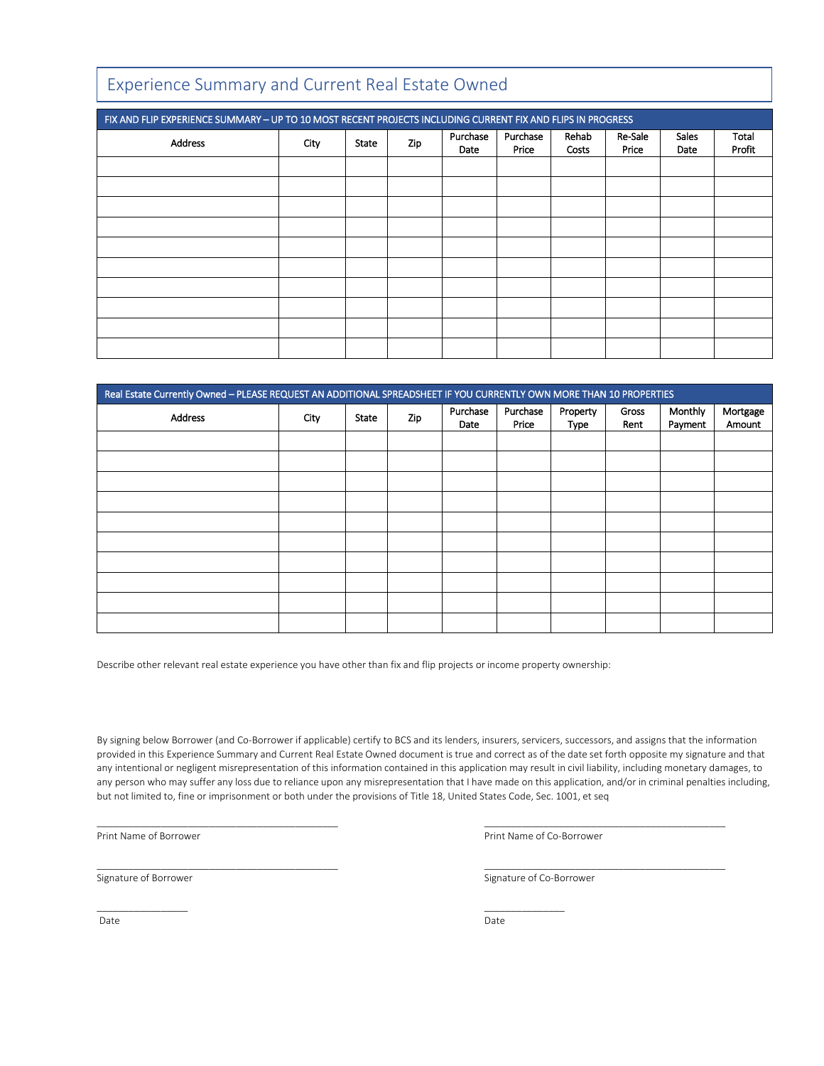| Experience Summary and Current Real Estate Owned                                                            |      |              |     |                  |                   |                |                  |                      |                 |
|-------------------------------------------------------------------------------------------------------------|------|--------------|-----|------------------|-------------------|----------------|------------------|----------------------|-----------------|
| FIX AND FLIP EXPERIENCE SUMMARY - UP TO 10 MOST RECENT PROJECTS INCLUDING CURRENT FIX AND FLIPS IN PROGRESS |      |              |     |                  |                   |                |                  |                      |                 |
| <b>Address</b>                                                                                              | City | <b>State</b> | Zip | Purchase<br>Date | Purchase<br>Price | Rehab<br>Costs | Re-Sale<br>Price | <b>Sales</b><br>Date | Total<br>Profit |
|                                                                                                             |      |              |     |                  |                   |                |                  |                      |                 |
|                                                                                                             |      |              |     |                  |                   |                |                  |                      |                 |
|                                                                                                             |      |              |     |                  |                   |                |                  |                      |                 |
|                                                                                                             |      |              |     |                  |                   |                |                  |                      |                 |
|                                                                                                             |      |              |     |                  |                   |                |                  |                      |                 |
|                                                                                                             |      |              |     |                  |                   |                |                  |                      |                 |
|                                                                                                             |      |              |     |                  |                   |                |                  |                      |                 |
|                                                                                                             |      |              |     |                  |                   |                |                  |                      |                 |
|                                                                                                             |      |              |     |                  |                   |                |                  |                      |                 |
|                                                                                                             |      |              |     |                  |                   |                |                  |                      |                 |

| Real Estate Currently Owned - PLEASE REQUEST AN ADDITIONAL SPREADSHEET IF YOU CURRENTLY OWN MORE THAN 10 PROPERTIES |      |       |     |                  |                   |                  |               |                    |                    |
|---------------------------------------------------------------------------------------------------------------------|------|-------|-----|------------------|-------------------|------------------|---------------|--------------------|--------------------|
| Address                                                                                                             | City | State | Zip | Purchase<br>Date | Purchase<br>Price | Property<br>Type | Gross<br>Rent | Monthly<br>Payment | Mortgage<br>Amount |
|                                                                                                                     |      |       |     |                  |                   |                  |               |                    |                    |
|                                                                                                                     |      |       |     |                  |                   |                  |               |                    |                    |
|                                                                                                                     |      |       |     |                  |                   |                  |               |                    |                    |
|                                                                                                                     |      |       |     |                  |                   |                  |               |                    |                    |
|                                                                                                                     |      |       |     |                  |                   |                  |               |                    |                    |
|                                                                                                                     |      |       |     |                  |                   |                  |               |                    |                    |
|                                                                                                                     |      |       |     |                  |                   |                  |               |                    |                    |
|                                                                                                                     |      |       |     |                  |                   |                  |               |                    |                    |
|                                                                                                                     |      |       |     |                  |                   |                  |               |                    |                    |
|                                                                                                                     |      |       |     |                  |                   |                  |               |                    |                    |

Describe other relevant real estate experience you have other than fix and flip projects or income property ownership:

\_\_\_\_\_\_\_\_\_\_\_\_\_\_\_\_\_ \_\_\_\_\_\_\_\_\_\_\_\_\_\_\_

By signing below Borrower (and Co-Borrower if applicable) certify to BCS and its lenders, insurers, servicers, successors, and assigns that the information provided in this Experience Summary and Current Real Estate Owned document is true and correct as of the date set forth opposite my signature and that any intentional or negligent misrepresentation of this information contained in this application may result in civil liability, including monetary damages, to any person who may suffer any loss due to reliance upon any misrepresentation that I have made on this application, and/or in criminal penalties including, but not limited to, fine or imprisonment or both under the provisions of Title 18, United States Code, Sec. 1001, et seq

\_\_\_\_\_\_\_\_\_\_\_\_\_\_\_\_\_\_\_\_\_\_\_\_\_\_\_\_\_\_\_\_\_\_\_\_\_\_\_\_\_\_\_\_\_ \_\_\_\_\_\_\_\_\_\_\_\_\_\_\_\_\_\_\_\_\_\_\_\_\_\_\_\_\_\_\_\_\_\_\_\_\_\_\_\_\_\_\_\_\_

\_\_\_\_\_\_\_\_\_\_\_\_\_\_\_\_\_\_\_\_\_\_\_\_\_\_\_\_\_\_\_\_\_\_\_\_\_\_\_\_\_\_\_\_\_ \_\_\_\_\_\_\_\_\_\_\_\_\_\_\_\_\_\_\_\_\_\_\_\_\_\_\_\_\_\_\_\_\_\_\_\_\_\_\_\_\_\_\_\_\_

Print Name of Borrower **Print Name of Co-Borrower** Print Name of Co-Borrower

Signature of Borrower Signature of Co-Borrower

Date Date